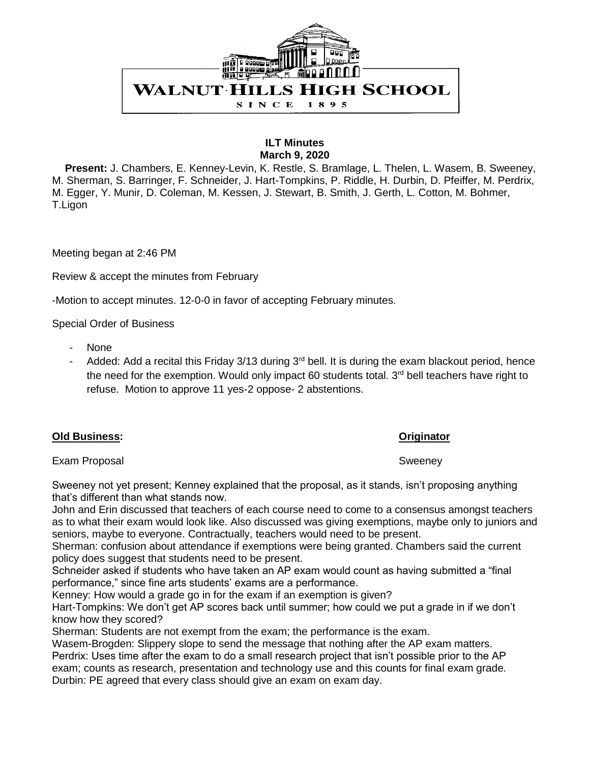

### **ILT Minutes March 9, 2020**

 **Present:** J. Chambers, E. Kenney-Levin, K. Restle, S. Bramlage, L. Thelen, L. Wasem, B. Sweeney, M. Sherman, S. Barringer, F. Schneider, J. Hart-Tompkins, P. Riddle, H. Durbin, D. Pfeiffer, M. Perdrix, M. Egger, Y. Munir, D. Coleman, M. Kessen, J. Stewart, B. Smith, J. Gerth, L. Cotton, M. Bohmer, T.Ligon

Meeting began at 2:46 PM

Review & accept the minutes from February

-Motion to accept minutes. 12-0-0 in favor of accepting February minutes.

Special Order of Business

- None
- Added: Add a recital this Friday  $3/13$  during  $3<sup>rd</sup>$  bell. It is during the exam blackout period, hence the need for the exemption. Would only impact 60 students total.  $3<sup>rd</sup>$  bell teachers have right to refuse. Motion to approve 11 yes-2 oppose- 2 abstentions.

| <b>Old Business:</b> |
|----------------------|
|                      |

### **Originator**

Exam Proposal Sweeney

Sweeney not yet present; Kenney explained that the proposal, as it stands, isn't proposing anything that's different than what stands now.

John and Erin discussed that teachers of each course need to come to a consensus amongst teachers as to what their exam would look like. Also discussed was giving exemptions, maybe only to juniors and seniors, maybe to everyone. Contractually, teachers would need to be present.

Sherman: confusion about attendance if exemptions were being granted. Chambers said the current policy does suggest that students need to be present.

Schneider asked if students who have taken an AP exam would count as having submitted a "final performance," since fine arts students' exams are a performance.

Kenney: How would a grade go in for the exam if an exemption is given?

Hart-Tompkins: We don't get AP scores back until summer; how could we put a grade in if we don't know how they scored?

Sherman: Students are not exempt from the exam; the performance is the exam.

Wasem-Brogden: Slippery slope to send the message that nothing after the AP exam matters. Perdrix: Uses time after the exam to do a small research project that isn't possible prior to the AP exam; counts as research, presentation and technology use and this counts for final exam grade. Durbin: PE agreed that every class should give an exam on exam day.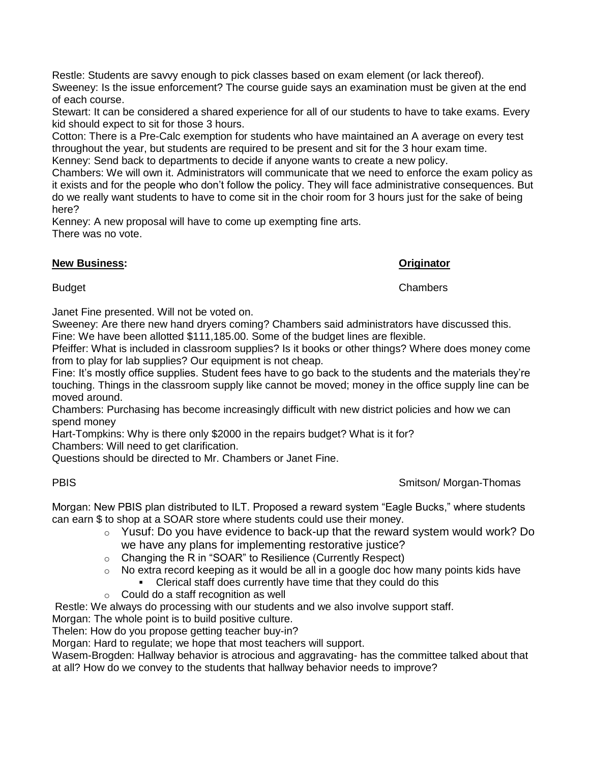Restle: Students are savvy enough to pick classes based on exam element (or lack thereof). Sweeney: Is the issue enforcement? The course guide says an examination must be given at the end of each course.

Stewart: It can be considered a shared experience for all of our students to have to take exams. Every kid should expect to sit for those 3 hours.

Cotton: There is a Pre-Calc exemption for students who have maintained an A average on every test throughout the year, but students are required to be present and sit for the 3 hour exam time.

Kenney: Send back to departments to decide if anyone wants to create a new policy.

Chambers: We will own it. Administrators will communicate that we need to enforce the exam policy as it exists and for the people who don't follow the policy. They will face administrative consequences. But do we really want students to have to come sit in the choir room for 3 hours just for the sake of being here?

Kenney: A new proposal will have to come up exempting fine arts. There was no vote.

## **New Business: Originator**

Budget Chambers

Janet Fine presented. Will not be voted on.

Sweeney: Are there new hand dryers coming? Chambers said administrators have discussed this. Fine: We have been allotted \$111,185.00. Some of the budget lines are flexible.

Pfeiffer: What is included in classroom supplies? Is it books or other things? Where does money come from to play for lab supplies? Our equipment is not cheap.

Fine: It's mostly office supplies. Student fees have to go back to the students and the materials they're touching. Things in the classroom supply like cannot be moved; money in the office supply line can be moved around.

Chambers: Purchasing has become increasingly difficult with new district policies and how we can spend money

Hart-Tompkins: Why is there only \$2000 in the repairs budget? What is it for?

Chambers: Will need to get clarification.

Questions should be directed to Mr. Chambers or Janet Fine.

# PBIS **Smitson/ Morgan-Thomas**

Morgan: New PBIS plan distributed to ILT. Proposed a reward system "Eagle Bucks," where students can earn \$ to shop at a SOAR store where students could use their money.

- $\circ$  Yusuf: Do you have evidence to back-up that the reward system would work? Do we have any plans for implementing restorative justice?
- o Changing the R in "SOAR" to Resilience (Currently Respect)
- $\circ$  No extra record keeping as it would be all in a google doc how many points kids have
	- Clerical staff does currently have time that they could do this
- o Could do a staff recognition as well

Restle: We always do processing with our students and we also involve support staff.

Morgan: The whole point is to build positive culture.

Thelen: How do you propose getting teacher buy-in?

Morgan: Hard to regulate; we hope that most teachers will support.

Wasem-Brogden: Hallway behavior is atrocious and aggravating- has the committee talked about that at all? How do we convey to the students that hallway behavior needs to improve?